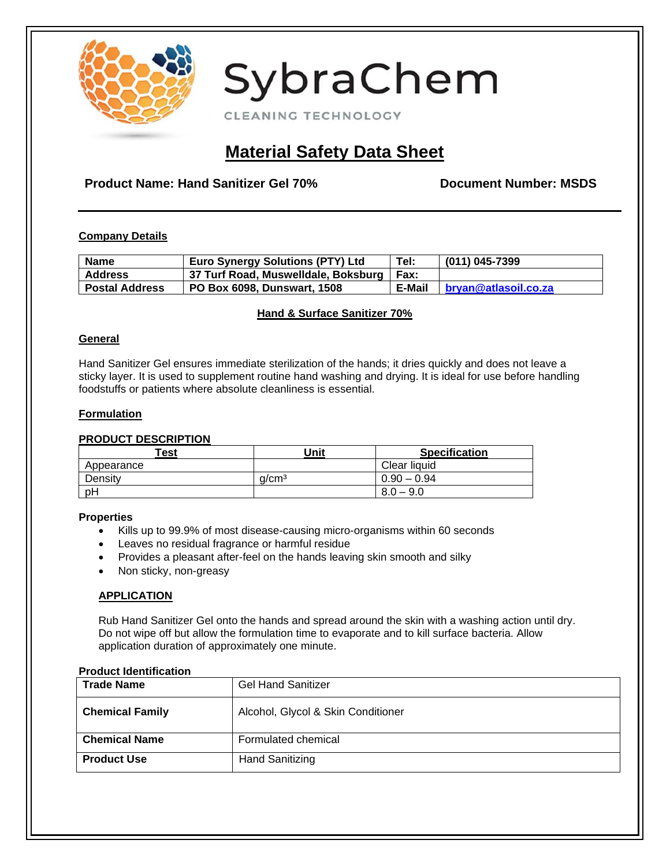

CLEANING TECHNOLOGY

# **Material Safety Data Sheet**

## **Product Name: Hand Sanitizer Gel 70% Document Number: MSDS**

#### **Company Details**

| Name                  | <b>Euro Synergy Solutions (PTY) Ltd</b>      | Tel:   | (011) 045-7399       |
|-----------------------|----------------------------------------------|--------|----------------------|
| <b>Address</b>        | ∣ 37 Turf Road, Muswelldale, Boksburg   Fax: |        |                      |
| <b>Postal Address</b> | PO Box 6098, Dunswart, 1508                  | E-Mail | bryan@atlasoil.co.za |

#### **Hand & Surface Sanitizer 70%**

#### **General**

Hand Sanitizer Gel ensures immediate sterilization of the hands; it dries quickly and does not leave a sticky layer. It is used to supplement routine hand washing and drying. It is ideal for use before handling foodstuffs or patients where absolute cleanliness is essential.

#### **Formulation**

#### **PRODUCT DESCRIPTION**

| Test       | Unit              | <b>Specification</b> |
|------------|-------------------|----------------------|
| Appearance |                   | Clear liquid         |
| Density    | a/cm <sup>3</sup> | $0.90 - 0.94$        |
| pH         |                   | $8.0 - 9.0$          |

#### **Properties**

- Kills up to 99.9% of most disease-causing micro-organisms within 60 seconds
- Leaves no residual fragrance or harmful residue
- Provides a pleasant after-feel on the hands leaving skin smooth and silky
- Non sticky, non-greasy

#### **APPLICATION**

Rub Hand Sanitizer Gel onto the hands and spread around the skin with a washing action until dry. Do not wipe off but allow the formulation time to evaporate and to kill surface bacteria. Allow application duration of approximately one minute.

#### **Product Identification**

| <b>Trade Name</b>      | <b>Gel Hand Sanitizer</b>          |
|------------------------|------------------------------------|
| <b>Chemical Family</b> | Alcohol, Glycol & Skin Conditioner |
| <b>Chemical Name</b>   | Formulated chemical                |
| <b>Product Use</b>     | <b>Hand Sanitizing</b>             |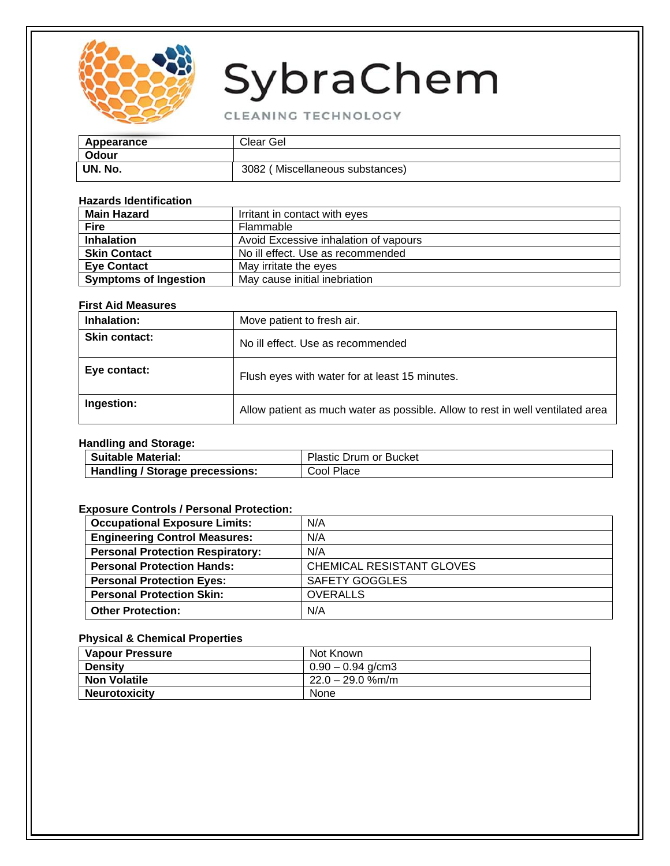

CLEANING TECHNOLOGY

| Appearance | Clear Gel                       |
|------------|---------------------------------|
| Odour      |                                 |
| UN. No.    | 3082 (Miscellaneous substances) |

#### **Hazards Identification**

| , 1929 93 1961 1969 1971     |                                       |
|------------------------------|---------------------------------------|
| <b>Main Hazard</b>           | Irritant in contact with eyes         |
| <b>Fire</b>                  | Flammable                             |
| <b>Inhalation</b>            | Avoid Excessive inhalation of vapours |
| <b>Skin Contact</b>          | No ill effect. Use as recommended     |
| <b>Eve Contact</b>           | May irritate the eyes                 |
| <b>Symptoms of Ingestion</b> | May cause initial inebriation         |

#### **First Aid Measures**

| Inhalation:          | Move patient to fresh air.                                                     |
|----------------------|--------------------------------------------------------------------------------|
| <b>Skin contact:</b> | No ill effect. Use as recommended                                              |
| Eye contact:         | Flush eyes with water for at least 15 minutes.                                 |
| Ingestion:           | Allow patient as much water as possible. Allow to rest in well ventilated area |

#### **Handling and Storage:**

| <b>Suitable Material:</b>              | <b>Plastic Drum or Bucket</b> |
|----------------------------------------|-------------------------------|
| <b>Handling / Storage precessions:</b> | Place<br>COOL                 |

#### **Exposure Controls / Personal Protection:**

| <b>Occupational Exposure Limits:</b>    | N/A                       |
|-----------------------------------------|---------------------------|
| <b>Engineering Control Measures:</b>    | N/A                       |
| <b>Personal Protection Respiratory:</b> | N/A                       |
| <b>Personal Protection Hands:</b>       | CHEMICAL RESISTANT GLOVES |
| <b>Personal Protection Eyes:</b>        | SAFETY GOGGLES            |
| <b>Personal Protection Skin:</b>        | <b>OVERALLS</b>           |
| <b>Other Protection:</b>                | N/A                       |

### **Physical & Chemical Properties**

| <b>Vapour Pressure</b> | Not Known           |
|------------------------|---------------------|
| <b>Density</b>         | $0.90 - 0.94$ g/cm3 |
| <b>Non Volatile</b>    | $22.0 - 29.0$ %m/m  |
| <b>Neurotoxicity</b>   | None                |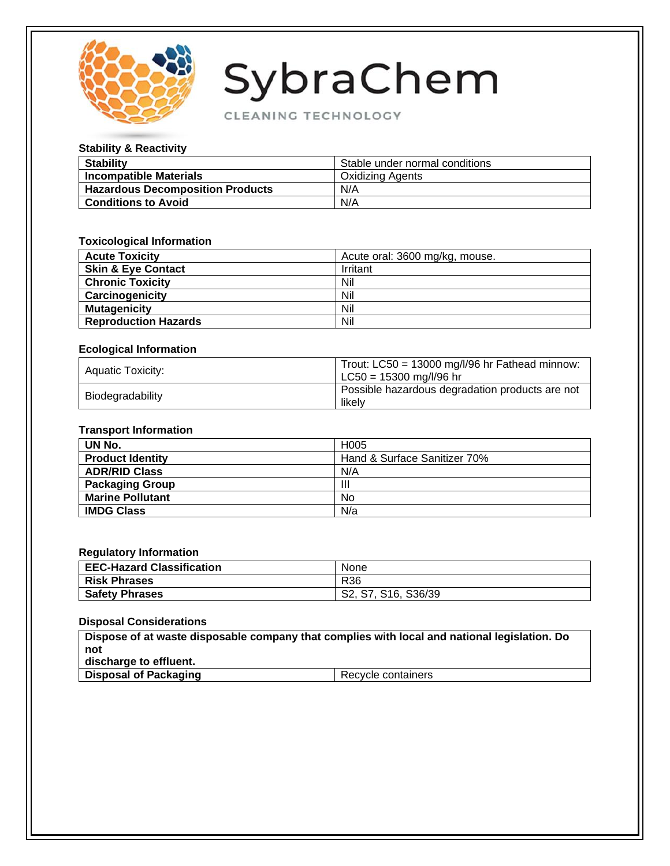

CLEANING TECHNOLOGY

#### **Stability & Reactivity**

| <b>Stability</b>                        | Stable under normal conditions |
|-----------------------------------------|--------------------------------|
| <b>Incompatible Materials</b>           | <b>Oxidizing Agents</b>        |
| <b>Hazardous Decomposition Products</b> | N/A                            |
| <b>Conditions to Avoid</b>              | N/A                            |

#### **Toxicological Information**

| <b>Acute Toxicity</b>         | Acute oral: 3600 mg/kg, mouse. |
|-------------------------------|--------------------------------|
| <b>Skin &amp; Eye Contact</b> | Irritant                       |
| <b>Chronic Toxicity</b>       | Nil                            |
| Carcinogenicity               | Nil                            |
| <b>Mutagenicity</b>           | Nil                            |
| <b>Reproduction Hazards</b>   | Nil                            |

#### **Ecological Information**

| Aquatic Toxicity: | Trout: $LC50 = 13000$ mg/l/96 hr Fathead minnow:<br>LC50 = 15300 mg/l/96 hr |
|-------------------|-----------------------------------------------------------------------------|
| Biodegradability  | Possible hazardous degradation products are not<br>likelv                   |

#### **Transport Information**

| UN No.                  | H <sub>005</sub>             |
|-------------------------|------------------------------|
| <b>Product Identity</b> | Hand & Surface Sanitizer 70% |
| <b>ADR/RID Class</b>    | N/A                          |
| <b>Packaging Group</b>  | Ш                            |
| <b>Marine Pollutant</b> | No                           |
| <b>IMDG Class</b>       | N/a                          |

#### **Regulatory Information**

| <b>EEC-Hazard Classification</b> | None                |
|----------------------------------|---------------------|
| <b>Risk Phrases</b>              | R36                 |
| <b>Safety Phrases</b>            | S2, S7, S16, S36/39 |

#### **Disposal Considerations**

**Dispose of at waste disposable company that complies with local and national legislation. Do not discharge to effluent.**

| <b>Disposal of Packaging</b><br>l Recvcle containers |
|------------------------------------------------------|
|------------------------------------------------------|